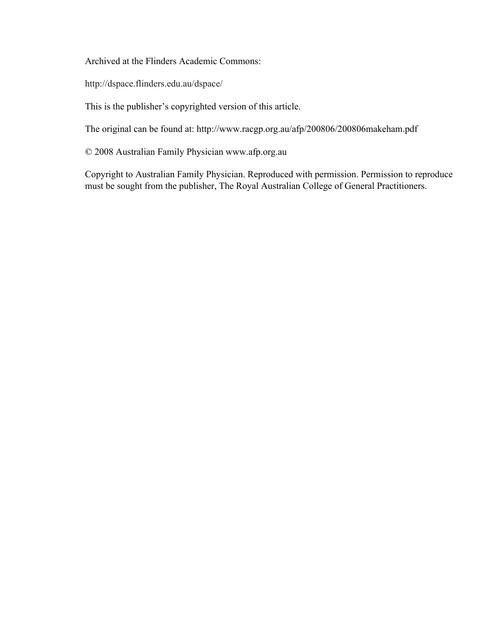Archived at the Flinders Academic Commons:

http://dspace.flinders.edu.au/dspace/

This is the publisher's copyrighted version of this article.

The original can be found at: http://www.racgp.org.au/afp/200806/200806makeham.pdf

© 2008 Australian Family Physician www.afp.org.au

Copyright to Australian Family Physician. Reproduced with permission. Permission to reproduce must be sought from the publisher, The Royal Australian College of General Practitioners.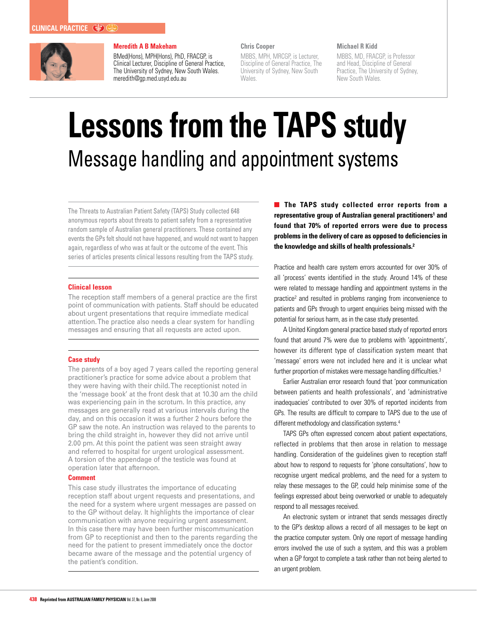

### **Meredith A B Makeham**

BMed(Hons), MPH(Hons), PhD, FRACGP, is Clinical Lecturer, Discipline of General Practice, The University of Sydney, New South Wales. meredith@gp.med.usyd.edu.au

#### **Chris Cooper**

MBBS, MPH, MRCGP, is Lecturer, Discipline of General Practice, The University of Sydney, New South Wales.

#### **Michael R Kidd**

MBBS, MD, FRACGP, is Professor and Head, Discipline of General Practice, The University of Sydney, New South Wales.

# **Lessons from the TAPS study** Message handling and appointment systems

The Threats to Australian Patient Safety (TAPS) Study collected 648 anonymous reports about threats to patient safety from a representative random sample of Australian general practitioners. These contained any events the GPs felt should not have happened, and would not want to happen again, regardless of who was at fault or the outcome of the event. This series of articles presents clinical lessons resulting from the TAPS study.

#### **Clinical lesson**

The reception staff members of a general practice are the first point of communication with patients. Staff should be educated about urgent presentations that require immediate medical attention. The practice also needs a clear system for handling messages and ensuring that all requests are acted upon.

#### **Case study**

The parents of a boy aged 7 years called the reporting general practitioner's practice for some advice about a problem that they were having with their child. The receptionist noted in the 'message book' at the front desk that at 10.30 am the child was experiencing pain in the scrotum. In this practice, any messages are generally read at various intervals during the day, and on this occasion it was a further 2 hours before the GP saw the note. An instruction was relayed to the parents to bring the child straight in, however they did not arrive until 2.00 pm. At this point the patient was seen straight away and referred to hospital for urgent urological assessment. A torsion of the appendage of the testicle was found at operation later that afternoon.

#### **Comment**

This case study illustrates the importance of educating reception staff about urgent requests and presentations, and the need for a system where urgent messages are passed on to the GP without delay. It highlights the importance of clear communication with anyone requiring urgent assessment. In this case there may have been further miscommunication from GP to receptionist and then to the parents regarding the need for the patient to present immediately once the doctor became aware of the message and the potential urgency of the patient's condition.

**The TAPS study collected error reports from a** representative group of Australian general practitioners<sup>1</sup> and **found that 70% of reported errors were due to process problems in the delivery of care as opposed to deficiencies in the knowledge and skills of health professionals.2**

Practice and health care system errors accounted for over 30% of all 'process' events identified in the study. Around 14% of these were related to message handling and appointment systems in the practice<sup>2</sup> and resulted in problems ranging from inconvenience to patients and GPs through to urgent enquiries being missed with the potential for serious harm, as in the case study presented.

A United Kingdom general practice based study of reported errors found that around 7% were due to problems with 'appointments', however its different type of classification system meant that 'message' errors were not included here and it is unclear what further proportion of mistakes were message handling difficulties.<sup>3</sup>

Earlier Australian error research found that 'poor communication between patients and health professionals', and 'administrative inadequacies' contributed to over 30% of reported incidents from GPs. The results are difficult to compare to TAPS due to the use of different methodology and classification systems.<sup>4</sup>

TAPS GPs often expressed concern about patient expectations, reflected in problems that then arose in relation to message handling. Consideration of the guidelines given to reception staff about how to respond to requests for 'phone consultations', how to recognise urgent medical problems, and the need for a system to relay these messages to the GP, could help minimise some of the feelings expressed about being overworked or unable to adequately respond to all messages received.

An electronic system or intranet that sends messages directly to the GP's desktop allows a record of all messages to be kept on the practice computer system. Only one report of message handling errors involved the use of such a system, and this was a problem when a GP forgot to complete a task rather than not being alerted to an urgent problem.